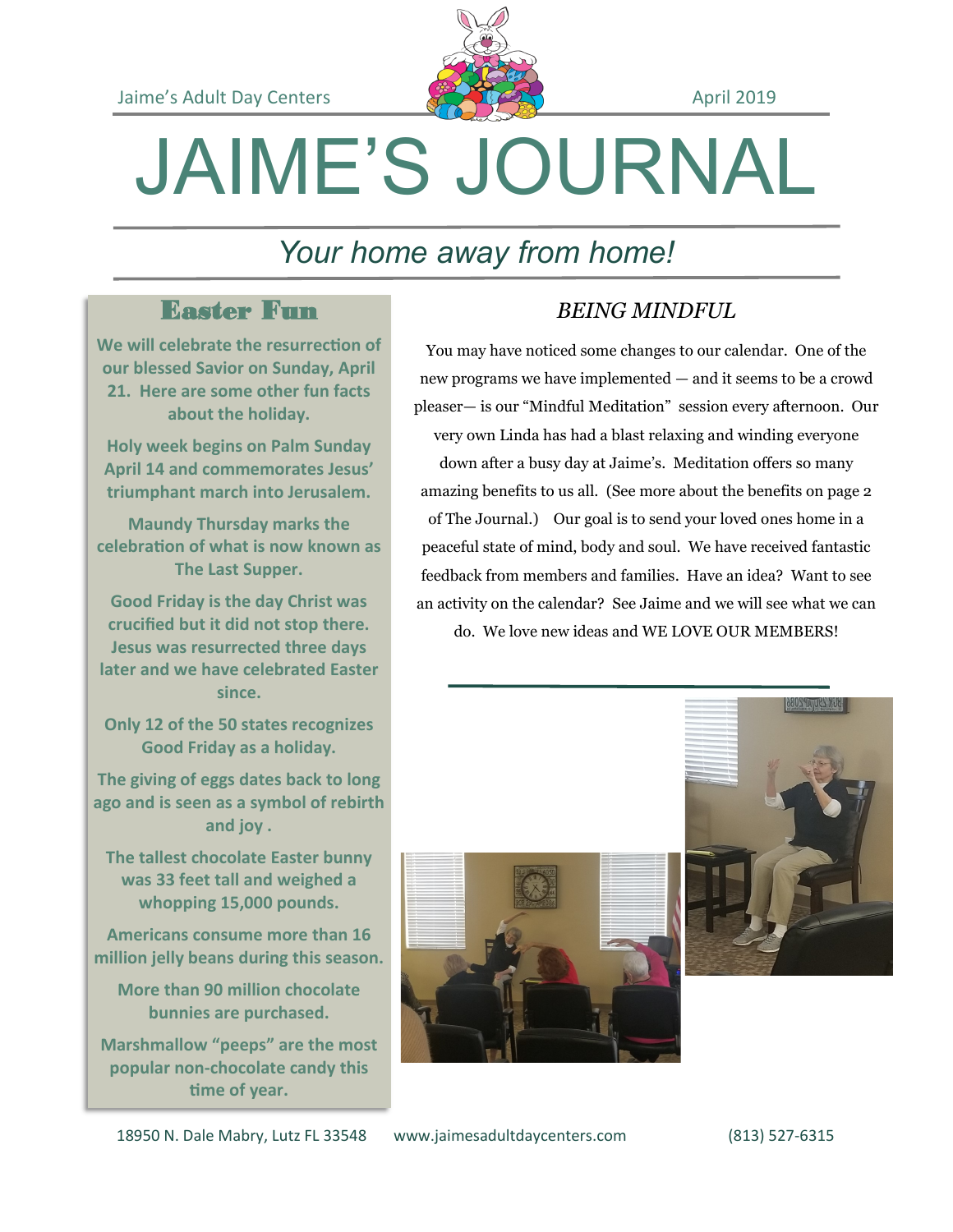

# JAIME'S JOURNAL

# *Your home away from home!*

### Easter Fun

**We will celebrate the resurrection of our blessed Savior on Sunday, April 21. Here are some other fun facts about the holiday.**

**Holy week begins on Palm Sunday April 14 and commemorates Jesus' triumphant march into Jerusalem.** 

**Maundy Thursday marks the celebration of what is now known as The Last Supper.** 

**Good Friday is the day Christ was crucified but it did not stop there. Jesus was resurrected three days later and we have celebrated Easter since.**

**Only 12 of the 50 states recognizes Good Friday as a holiday.**

**The giving of eggs dates back to long ago and is seen as a symbol of rebirth and joy .** 

**The tallest chocolate Easter bunny was 33 feet tall and weighed a whopping 15,000 pounds.**

**Americans consume more than 16 million jelly beans during this season.**

**More than 90 million chocolate bunnies are purchased.**

**Marshmallow "peeps" are the most popular non-chocolate candy this time of year.**

#### *BEING MINDFUL*

You may have noticed some changes to our calendar. One of the new programs we have implemented — and it seems to be a crowd pleaser— is our "Mindful Meditation" session every afternoon. Our very own Linda has had a blast relaxing and winding everyone

down after a busy day at Jaime's. Meditation offers so many amazing benefits to us all. (See more about the benefits on page 2 of The Journal.) Our goal is to send your loved ones home in a peaceful state of mind, body and soul. We have received fantastic feedback from members and families. Have an idea? Want to see an activity on the calendar? See Jaime and we will see what we can

do. We love new ideas and WE LOVE OUR MEMBERS!





18950 N. Dale Mabry, Lutz FL 33548 www.jaimesadultdaycenters.com (813) 527-6315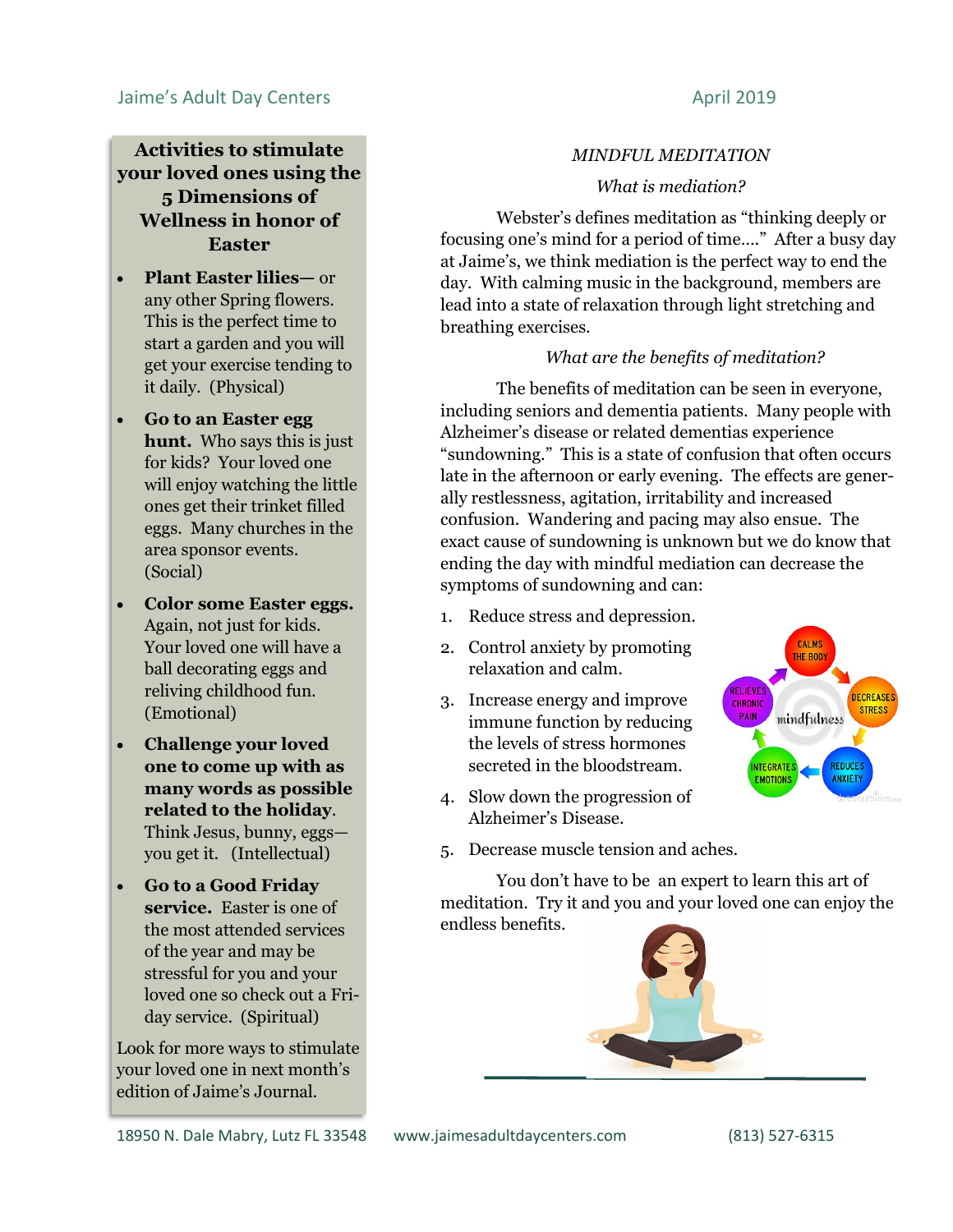#### **Activities to stimulate your loved ones using the 5 Dimensions of Wellness in honor of Easter**

- **Plant Easter lilies—** or any other Spring flowers. This is the perfect time to start a garden and you will get your exercise tending to it daily. (Physical)
- **Go to an Easter egg hunt.** Who says this is just for kids? Your loved one will enjoy watching the little ones get their trinket filled eggs. Many churches in the area sponsor events. (Social)
- **Color some Easter eggs.**  Again, not just for kids. Your loved one will have a ball decorating eggs and reliving childhood fun. (Emotional)
- **Challenge your loved one to come up with as many words as possible related to the holiday**. Think Jesus, bunny, eggs you get it. (Intellectual)
- **Go to a Good Friday service.** Easter is one of the most attended services of the year and may be stressful for you and your loved one so check out a Friday service. (Spiritual)

Look for more ways to stimulate your loved one in next month's edition of Jaime's Journal.

#### *MINDFUL MEDITATION*

#### *What is mediation?*

Webster's defines meditation as "thinking deeply or focusing one's mind for a period of time…." After a busy day at Jaime's, we think mediation is the perfect way to end the day. With calming music in the background, members are lead into a state of relaxation through light stretching and breathing exercises.

#### *What are the benefits of meditation?*

The benefits of meditation can be seen in everyone, including seniors and dementia patients. Many people with Alzheimer's disease or related dementias experience "sundowning." This is a state of confusion that often occurs late in the afternoon or early evening. The effects are generally restlessness, agitation, irritability and increased confusion. Wandering and pacing may also ensue. The exact cause of sundowning is unknown but we do know that ending the day with mindful mediation can decrease the symptoms of sundowning and can:

- 1. Reduce stress and depression.
- 2. Control anxiety by promoting relaxation and calm.
- 3. Increase energy and improve immune function by reducing the levels of stress hormones secreted in the bloodstream.
- 4. Slow down the progression of Alzheimer's Disease.



5. Decrease muscle tension and aches.

You don't have to be an expert to learn this art of meditation. Try it and you and your loved one can enjoy the endless benefits.

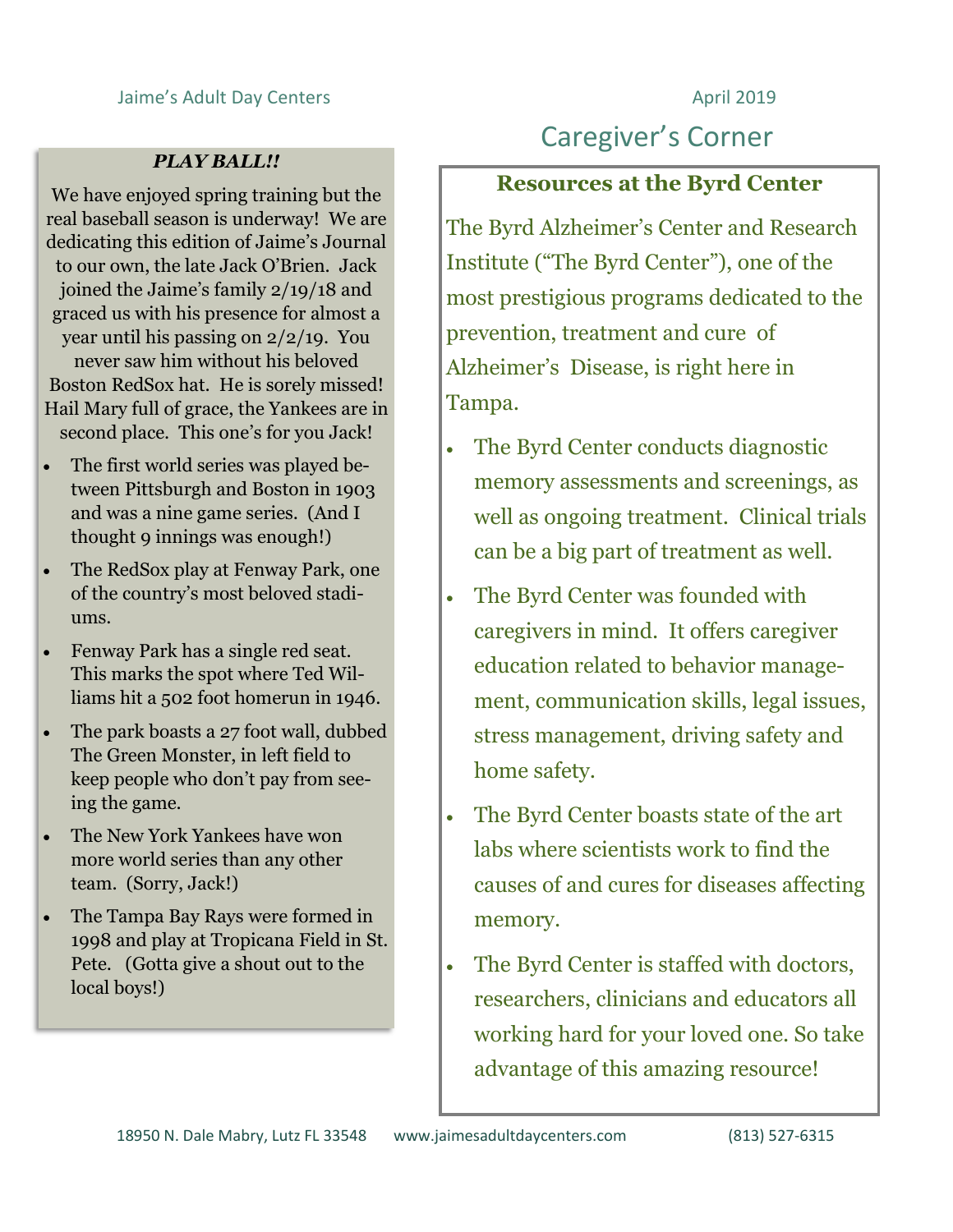#### Jaime's Adult Day Centers **April 2019**

#### *PLAY BALL!!*

We have enjoyed spring training but the real baseball season is underway! We are dedicating this edition of Jaime's Journal to our own, the late Jack O'Brien. Jack joined the Jaime's family 2/19/18 and graced us with his presence for almost a year until his passing on 2/2/19. You never saw him without his beloved Boston RedSox hat. He is sorely missed! Hail Mary full of grace, the Yankees are in second place. This one's for you Jack!

- The first world series was played between Pittsburgh and Boston in 1903 and was a nine game series. (And I thought 9 innings was enough!)
- The RedSox play at Fenway Park, one of the country's most beloved stadiums.
- Fenway Park has a single red seat. This marks the spot where Ted Williams hit a 502 foot homerun in 1946.
- The park boasts a 27 foot wall, dubbed The Green Monster, in left field to keep people who don't pay from seeing the game.
- The New York Yankees have won more world series than any other team. (Sorry, Jack!)
- The Tampa Bay Rays were formed in 1998 and play at Tropicana Field in St. Pete. (Gotta give a shout out to the local boys!)

## Caregiver's Corner

#### **Resources at the Byrd Center**

The Byrd Alzheimer's Center and Research Institute ("The Byrd Center"), one of the most prestigious programs dedicated to the prevention, treatment and cure of Alzheimer's Disease, is right here in Tampa.

- The Byrd Center conducts diagnostic memory assessments and screenings, as well as ongoing treatment. Clinical trials can be a big part of treatment as well.
- The Byrd Center was founded with caregivers in mind. It offers caregiver education related to behavior management, communication skills, legal issues, stress management, driving safety and home safety.
- The Byrd Center boasts state of the art labs where scientists work to find the causes of and cures for diseases affecting memory.
- The Byrd Center is staffed with doctors, researchers, clinicians and educators all working hard for your loved one. So take advantage of this amazing resource!